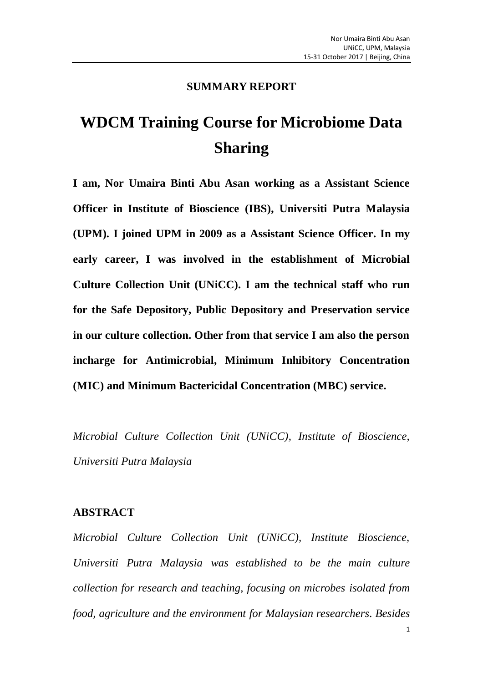#### **SUMMARY REPORT**

# **WDCM Training Course for Microbiome Data Sharing**

**I am, Nor Umaira Binti Abu Asan working as a Assistant Science Officer in Institute of Bioscience (IBS), Universiti Putra Malaysia (UPM). I joined UPM in 2009 as a Assistant Science Officer. In my early career, I was involved in the establishment of Microbial Culture Collection Unit (UNiCC). I am the technical staff who run for the Safe Depository, Public Depository and Preservation service in our culture collection. Other from that service I am also the person incharge for Antimicrobial, Minimum Inhibitory Concentration (MIC) and Minimum Bactericidal Concentration (MBC) service.**

*Microbial Culture Collection Unit (UNiCC), Institute of Bioscience, Universiti Putra Malaysia*

#### **ABSTRACT**

*Microbial Culture Collection Unit (UNiCC), Institute Bioscience, Universiti Putra Malaysia was established to be the main culture collection for research and teaching, focusing on microbes isolated from food, agriculture and the environment for Malaysian researchers. Besides*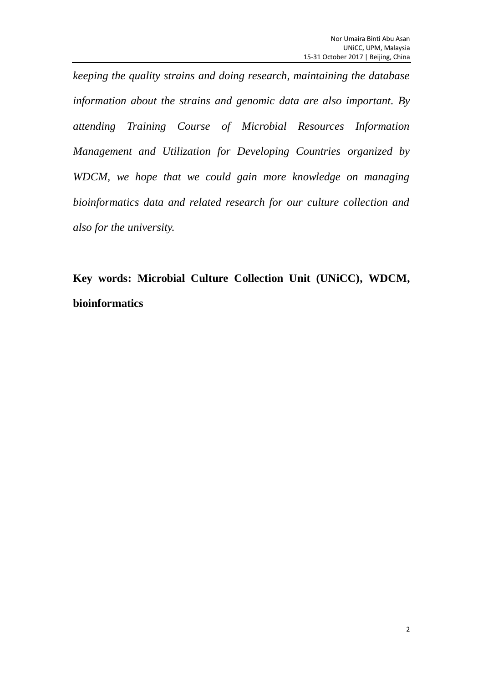*keeping the quality strains and doing research, maintaining the database information about the strains and genomic data are also important. By attending Training Course of Microbial Resources Information Management and Utilization for Developing Countries organized by WDCM, we hope that we could gain more knowledge on managing bioinformatics data and related research for our culture collection and also for the university.*

**Key words: Microbial Culture Collection Unit (UNiCC), WDCM, bioinformatics**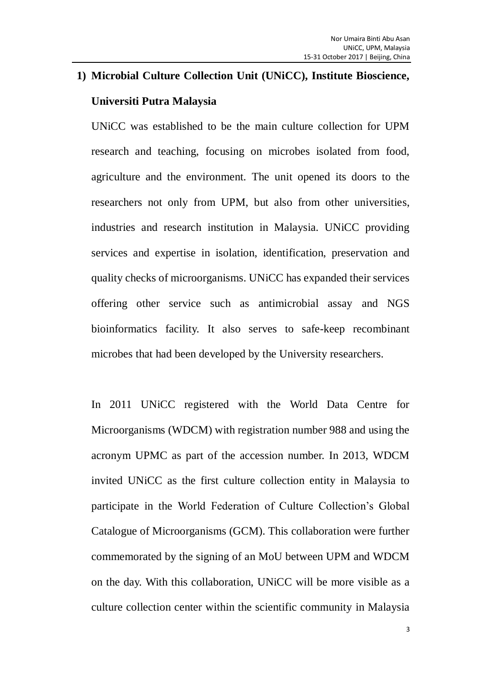# **1) Microbial Culture Collection Unit (UNiCC), Institute Bioscience, Universiti Putra Malaysia**

UNiCC was established to be the main culture collection for UPM research and teaching, focusing on microbes isolated from food, agriculture and the environment. The unit opened its doors to the researchers not only from UPM, but also from other universities, industries and research institution in Malaysia. UNiCC providing services and expertise in isolation, identification, preservation and quality checks of microorganisms. UNiCC has expanded their services offering other service such as antimicrobial assay and NGS bioinformatics facility. It also serves to safe-keep recombinant microbes that had been developed by the University researchers.

In 2011 UNiCC registered with the World Data Centre for Microorganisms (WDCM) with registration number 988 and using the acronym UPMC as part of the accession number. In 2013, WDCM invited UNiCC as the first culture collection entity in Malaysia to participate in the World Federation of Culture Collection's Global Catalogue of Microorganisms (GCM). This collaboration were further commemorated by the signing of an MoU between UPM and WDCM on the day. With this collaboration, UNiCC will be more visible as a culture collection center within the scientific community in Malaysia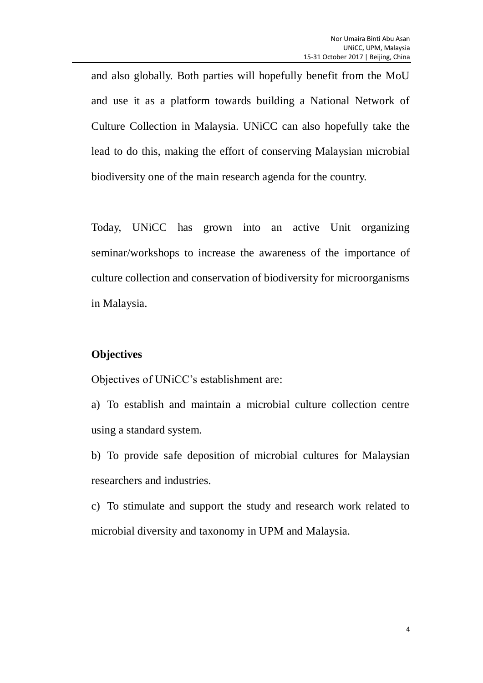and also globally. Both parties will hopefully benefit from the MoU and use it as a platform towards building a National Network of Culture Collection in Malaysia. UNiCC can also hopefully take the lead to do this, making the effort of conserving Malaysian microbial biodiversity one of the main research agenda for the country.

Today, UNiCC has grown into an active Unit organizing seminar/workshops to increase the awareness of the importance of culture collection and conservation of biodiversity for microorganisms in Malaysia.

#### **Objectives**

Objectives of UNiCC's establishment are:

a) To establish and maintain a microbial culture collection centre using a standard system.

b) To provide safe deposition of microbial cultures for Malaysian researchers and industries.

c) To stimulate and support the study and research work related to microbial diversity and taxonomy in UPM and Malaysia.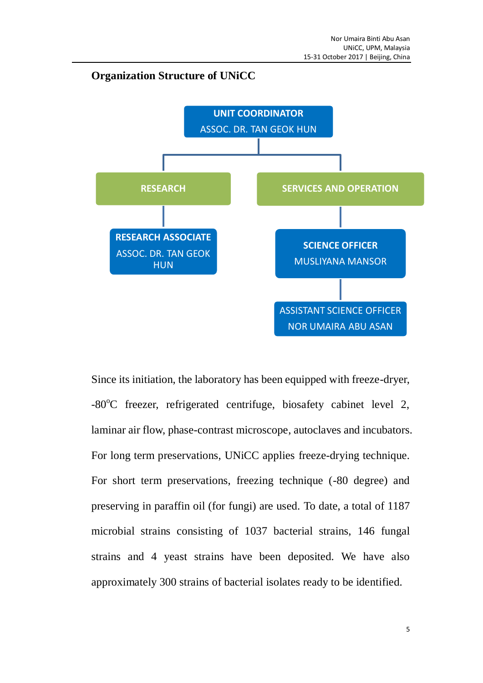### **Organization Structure of UNiCC**



Since its initiation, the laboratory has been equipped with freeze-dryer, -80<sup>o</sup>C freezer, refrigerated centrifuge, biosafety cabinet level 2, laminar air flow, phase-contrast microscope, autoclaves and incubators. For long term preservations, UNiCC applies freeze-drying technique. For short term preservations, freezing technique (-80 degree) and preserving in paraffin oil (for fungi) are used. To date, a total of 1187 microbial strains consisting of 1037 bacterial strains, 146 fungal strains and 4 yeast strains have been deposited. We have also approximately 300 strains of bacterial isolates ready to be identified.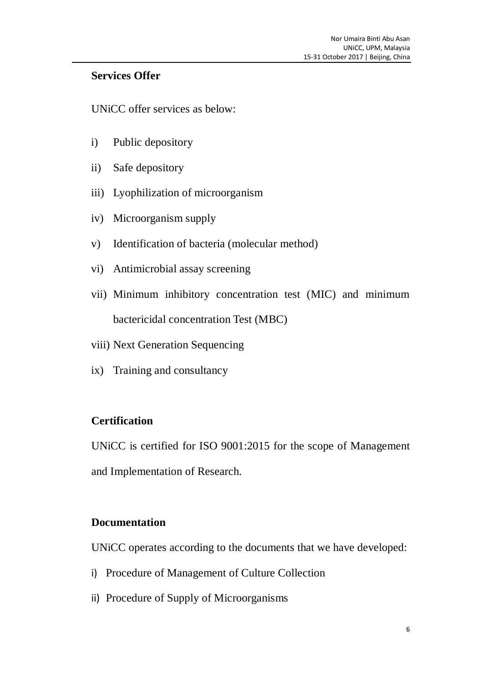## **Services Offer**

UNiCC offer services as below:

- i) Public depository
- ii) Safe depository
- iii) Lyophilization of microorganism
- iv) Microorganism supply
- v) Identification of bacteria (molecular method)
- vi) Antimicrobial assay screening
- vii) Minimum inhibitory concentration test (MIC) and minimum bactericidal concentration Test (MBC)
- viii) Next Generation Sequencing
- ix) Training and consultancy

## **Certification**

UNiCC is certified for ISO 9001:2015 for the scope of Management and Implementation of Research.

#### **Documentation**

UNiCC operates according to the documents that we have developed:

- i) Procedure of Management of Culture Collection
- ii) Procedure of Supply of Microorganisms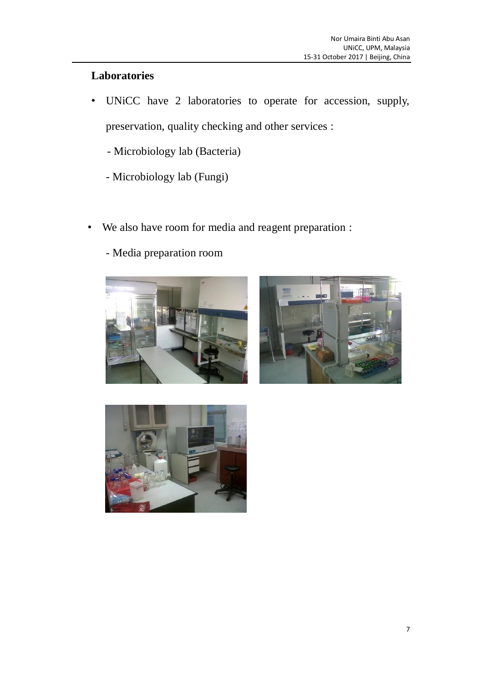## **Laboratories**

• UNiCC have 2 laboratories to operate for accession, supply, preservation, quality checking and other services :

- Microbiology lab (Bacteria)

- Microbiology lab (Fungi)
- We also have room for media and reagent preparation :
	- Media preparation room





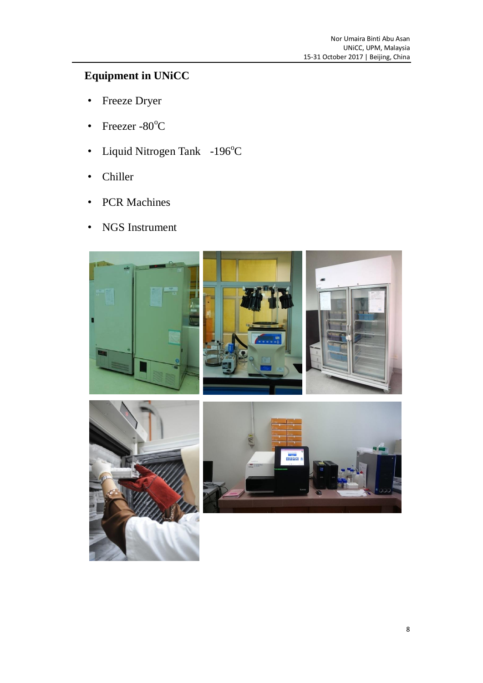# **Equipment in UNiCC**

- Freeze Dryer
- Freezer - $80^{\circ}$ C
- Liquid Nitrogen Tank  $-196^{\circ}C$
- Chiller
- PCR Machines
- NGS Instrument

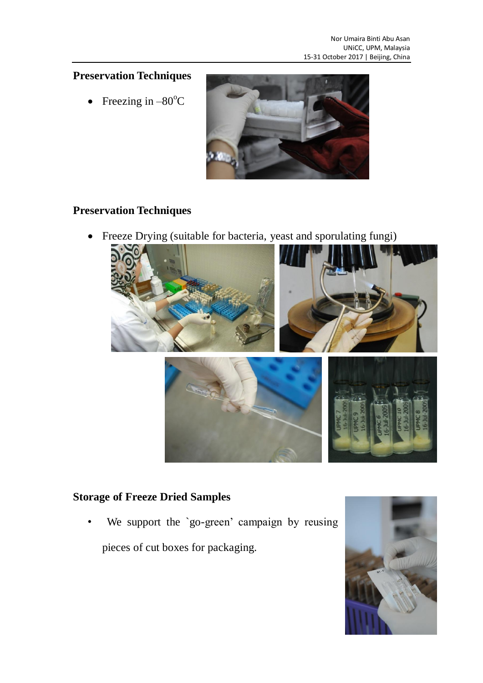## **Preservation Techniques**

• Freezing in  $-80^{\circ}$ C



## **Preservation Techniques**

Freeze Drying (suitable for bacteria, yeast and sporulating fungi)



## **Storage of Freeze Dried Samples**

We support the `go-green' campaign by reusing pieces of cut boxes for packaging.

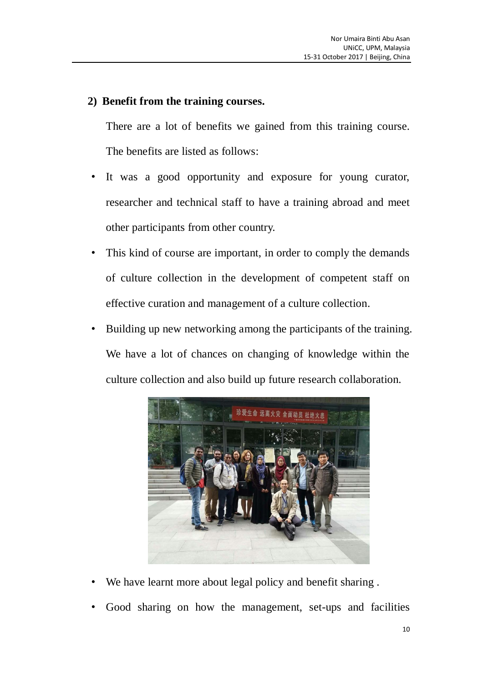## **2) Benefit from the training courses.**

There are a lot of benefits we gained from this training course. The benefits are listed as follows:

- It was a good opportunity and exposure for young curator, researcher and technical staff to have a training abroad and meet other participants from other country.
- This kind of course are important, in order to comply the demands of culture collection in the development of competent staff on effective curation and management of a culture collection.
- Building up new networking among the participants of the training. We have a lot of chances on changing of knowledge within the culture collection and also build up future research collaboration.



- We have learnt more about legal policy and benefit sharing.
- Good sharing on how the management, set-ups and facilities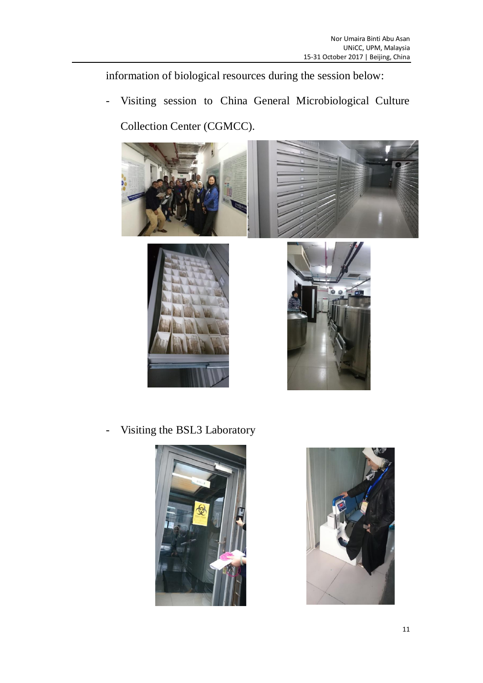information of biological resources during the session below:

- Visiting session to China General Microbiological Culture

Collection Center (CGMCC).









- Visiting the BSL3 Laboratory



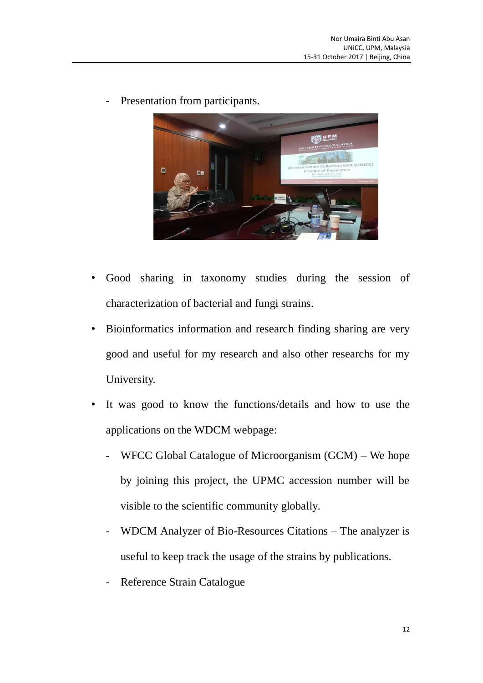Presentation from participants.



- Good sharing in taxonomy studies during the session of characterization of bacterial and fungi strains.
- Bioinformatics information and research finding sharing are very good and useful for my research and also other researchs for my University.
- It was good to know the functions/details and how to use the applications on the WDCM webpage:
	- $WFCC$  Global Catalogue of Microorganism  $(GCM)$  We hope by joining this project, the UPMC accession number will be visible to the scientific community globally.
	- WDCM Analyzer of Bio-Resources Citations The analyzer is useful to keep track the usage of the strains by publications.
	- Reference Strain Catalogue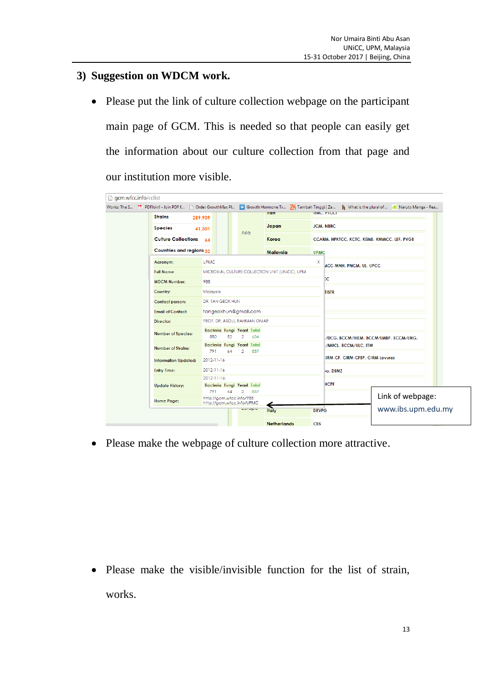### **3) Suggestion on WDCM work.**

• Please put the link of culture collection webpage on the participant main page of GCM. This is needed so that people can easily get the information about our culture collection from that page and our institution more visible.

| <b>Strains</b>                                                             | 289,909                                          |    |                      |                                                | <b>Iran</b>     | Works: The S 7. PDFJoin! - Join PDF f   Order GrowthMax Pl   -   Growth Hormone Tr ZH Tambah Tinggi   Za<br>What is the plural of <b>A.</b> Naruto Manga - Rea<br><b>IBKU, PIULI</b><br><b>JCM, NBRC</b> |                                                            |                                       |                                        |  |
|----------------------------------------------------------------------------|--------------------------------------------------|----|----------------------|------------------------------------------------|-----------------|----------------------------------------------------------------------------------------------------------------------------------------------------------------------------------------------------------|------------------------------------------------------------|---------------------------------------|----------------------------------------|--|
| <b>Species</b>                                                             | 41,301                                           |    | Asia                 |                                                | Japan<br>Korea  |                                                                                                                                                                                                          |                                                            |                                       |                                        |  |
| Culture Collections 64                                                     |                                                  |    |                      |                                                |                 |                                                                                                                                                                                                          | CCARM, HPKTCC, KCTC, KEMB, KMMCC, LEF, PVGB<br><b>UPMC</b> |                                       |                                        |  |
| Countries and regions 32                                                   |                                                  |    |                      |                                                | <b>Malavsia</b> |                                                                                                                                                                                                          |                                                            |                                       |                                        |  |
| Acronym:                                                                   | <b>UPMC</b>                                      |    |                      |                                                |                 | x                                                                                                                                                                                                        |                                                            | ACC-MNH, PNCM, UL, UPCC               |                                        |  |
| <b>Full Name:</b>                                                          |                                                  |    |                      | MICROBIAL CULTURE COLLECTION UNIT (UNICC), UPM |                 |                                                                                                                                                                                                          |                                                            |                                       |                                        |  |
| <b>WDCM Number:</b>                                                        | 988<br>Malaysia<br><b>DR. TAN GEOK HUN</b>       |    |                      |                                                |                 |                                                                                                                                                                                                          | СC                                                         |                                       |                                        |  |
| Country:                                                                   |                                                  |    |                      |                                                |                 |                                                                                                                                                                                                          | <b>TISTR</b>                                               |                                       |                                        |  |
| Contact person:                                                            |                                                  |    |                      |                                                |                 |                                                                                                                                                                                                          |                                                            |                                       |                                        |  |
| <b>Email of Contact:</b>                                                   | tangeokhun@gmail.com                             |    |                      |                                                |                 |                                                                                                                                                                                                          |                                                            |                                       |                                        |  |
| Director:                                                                  | PROF. DR. ABDUL RAHMAN OMAR                      |    |                      |                                                |                 |                                                                                                                                                                                                          |                                                            |                                       |                                        |  |
| Number of Species:                                                         | Bacteria Fungi Yeast Total<br>580                | 52 | $\overline{2}$       | 634                                            |                 |                                                                                                                                                                                                          |                                                            | /DCG, BCCM/IHEM, BCCM/LMBP, BCCM/LMG, |                                        |  |
| <b>Number of Strains:</b>                                                  | Bacteria Fungi Yeast Total<br>791                | 64 | $\mathbf{2}^{\circ}$ | 857                                            |                 |                                                                                                                                                                                                          | /MUCL, BCCM/ULC, ITM                                       |                                       |                                        |  |
| <b>Information Updated:</b>                                                | 2012-11-16                                       |    |                      |                                                |                 |                                                                                                                                                                                                          |                                                            | IRM-CF, CIRM-CFBP, CIRM-Levures       |                                        |  |
| <b>Entry Time:</b>                                                         | 2012-11-16                                       |    |                      |                                                |                 |                                                                                                                                                                                                          | ro, DSMZ                                                   |                                       |                                        |  |
| <b>Update History:</b>                                                     | 2012-11-16:<br>Bacteria Fungi Yeast Total<br>791 | 64 | $\overline{2}$       | 857                                            |                 |                                                                                                                                                                                                          | <b>HCPF</b>                                                |                                       |                                        |  |
| http://gcm.wfcc.info/988<br><b>Home Page:</b><br>http://gem.wfee.info/UPMC |                                                  |    | conopio              |                                                |                 |                                                                                                                                                                                                          |                                                            |                                       | Link of webpage:<br>www.ibs.upm.edu.my |  |

Please make the webpage of culture collection more attractive.

• Please make the visible/invisible function for the list of strain, works.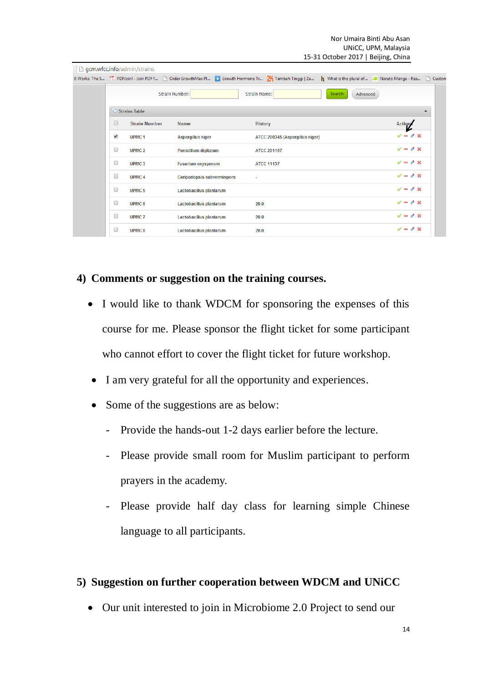Nor Umaira Binti Abu Asan UNiCC, UPM, Malaysia 15-31 October 2017 | Beijing, China

|                      | gcm.wfcc.info/admin/strains |                             |                                                                                                                                                                            |                    |                                    |
|----------------------|-----------------------------|-----------------------------|----------------------------------------------------------------------------------------------------------------------------------------------------------------------------|--------------------|------------------------------------|
|                      |                             |                             | It Works: The S 7. PDFJoin! - Join PDF f   Order GrowthMax Pl   2   Growth Hormone Tr   2   Tambah Tinggi   Za     What is the plural of a   Naruto Manga - Rea     Custon |                    |                                    |
|                      |                             | Strain Number:              | Strain Name:                                                                                                                                                               | Search<br>Advanced |                                    |
|                      | Strains Table               |                             |                                                                                                                                                                            |                    | ▲                                  |
| U                    | <b>Strain Number</b>        | <b>Name</b>                 | <b>History</b>                                                                                                                                                             |                    | <b>Actions</b>                     |
| $\blacktriangledown$ | UPMC <sub>1</sub>           | <b>Aspergillus niger</b>    | ATCC 200345 (Aspergillus niger)                                                                                                                                            |                    | $\mathscr{L} = \mathscr{L} \times$ |
| 0                    | UPMC <sub>2</sub>           | Penicillium digitatum       | <b>ATCC 201167</b>                                                                                                                                                         |                    | $\mathcal{L} = \mathcal{L} \times$ |
| 0                    | UPMC <sub>3</sub>           | <b>Fusarium oxysporum</b>   | <b>ATCC 11137</b>                                                                                                                                                          |                    | $\mathscr{L} = \mathscr{D} \times$ |
| 0                    | <b>UPMC4</b>                | Ceriporiopsis subvermispora | $\sim$                                                                                                                                                                     |                    | $\mathcal{L} = \mathcal{L} \times$ |
| 0                    | <b>UPMC 5</b>               | Lactobacillus plantarum     |                                                                                                                                                                            |                    | $\checkmark$ = $\delta$ x          |
| $\Box$               | UPMC <sub>6</sub>           | Lactobacillus plantarum     | 20.0                                                                                                                                                                       |                    | $\mathcal{L} = \mathcal{L} \times$ |
| 0                    | <b>UPMC7</b>                | Lactobacillus plantarum     | 20.0                                                                                                                                                                       |                    | $\mathscr{L} = \mathscr{L} \times$ |
| 0                    | <b>UPMC 8</b>               | Lactobacillus plantarum     | 20.0                                                                                                                                                                       |                    | $\mathscr{L} = \mathscr{L} \times$ |
|                      |                             |                             |                                                                                                                                                                            |                    |                                    |

## **4) Comments or suggestion on the training courses.**

- I would like to thank WDCM for sponsoring the expenses of this course for me. Please sponsor the flight ticket for some participant who cannot effort to cover the flight ticket for future workshop.
- I am very grateful for all the opportunity and experiences.
- Some of the suggestions are as below:
	- Provide the hands-out 1-2 days earlier before the lecture.
	- Please provide small room for Muslim participant to perform prayers in the academy.
	- Please provide half day class for learning simple Chinese language to all participants.

#### **5) Suggestion on further cooperation between WDCM and UNiCC**

• Our unit interested to join in Microbiome 2.0 Project to send our